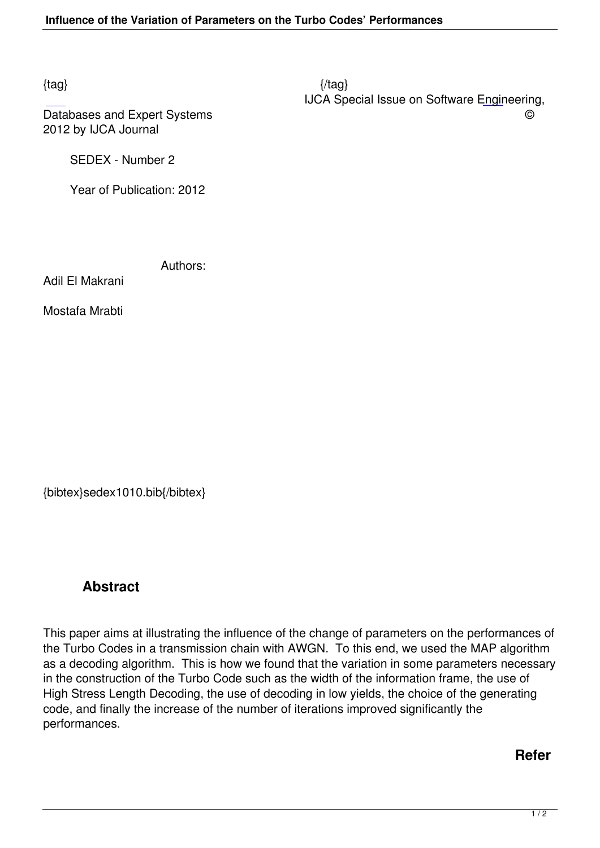Databases and Expert Systems  $\heartsuit$ 2012 by IJCA Journal

SEDEX - Number 2

Year of Publication: 2012

Authors:

Adil El Makrani

Mostafa Mrabti

{bibtex}sedex1010.bib{/bibtex}

## **Abstract**

This paper aims at illustrating the influence of the change of parameters on the performances of the Turbo Codes in a transmission chain with AWGN. To this end, we used the MAP algorithm as a decoding algorithm. This is how we found that the variation in some parameters necessary in the construction of the Turbo Code such as the width of the information frame, the use of High Stress Length Decoding, the use of decoding in low yields, the choice of the generating code, and finally the increase of the number of iterations improved significantly the performances.

**Refer**